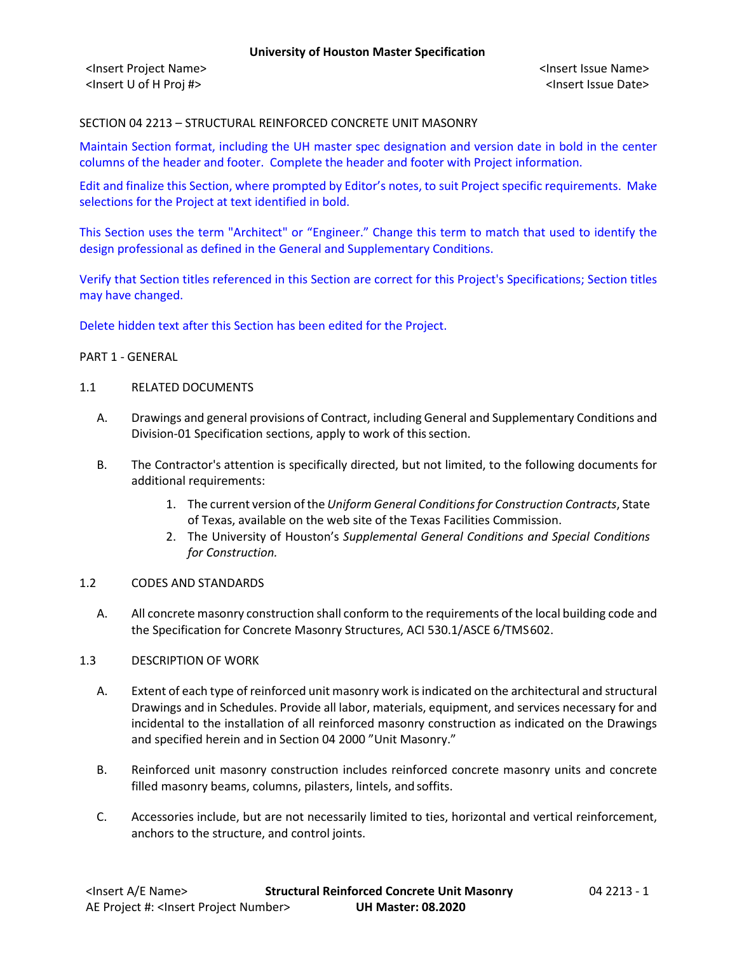SECTION 04 2213 – STRUCTURAL REINFORCED CONCRETE UNIT MASONRY

Maintain Section format, including the UH master spec designation and version date in bold in the center columns of the header and footer. Complete the header and footer with Project information.

Edit and finalize this Section, where prompted by Editor's notes, to suit Project specific requirements. Make selections for the Project at text identified in bold.

This Section uses the term "Architect" or "Engineer." Change this term to match that used to identify the design professional as defined in the General and Supplementary Conditions.

Verify that Section titles referenced in this Section are correct for this Project's Specifications; Section titles may have changed.

Delete hidden text after this Section has been edited for the Project.

### PART 1 - GENERAL

#### 1.1 RELATED DOCUMENTS

- A. Drawings and general provisions of Contract, including General and Supplementary Conditions and Division-01 Specification sections, apply to work of this section.
- B. The Contractor's attention is specifically directed, but not limited, to the following documents for additional requirements:
	- 1. The current version of the *Uniform General Conditions for Construction Contracts*, State of Texas, available on the web site of the Texas Facilities Commission.
	- 2. The University of Houston's *Supplemental General Conditions and Special Conditions for Construction.*

# 1.2 CODES AND STANDARDS

A. All concrete masonry construction shall conform to the requirements of the local building code and the Specification for Concrete Masonry Structures, ACI 530.1/ASCE 6/TMS602.

#### 1.3 DESCRIPTION OF WORK

- A. Extent of each type of reinforced unit masonry work is indicated on the architectural and structural Drawings and in Schedules. Provide all labor, materials, equipment, and services necessary for and incidental to the installation of all reinforced masonry construction as indicated on the Drawings and specified herein and in Section 04 2000 "Unit Masonry."
- B. Reinforced unit masonry construction includes reinforced concrete masonry units and concrete filled masonry beams, columns, pilasters, lintels, and soffits.
- C. Accessories include, but are not necessarily limited to ties, horizontal and vertical reinforcement, anchors to the structure, and control joints.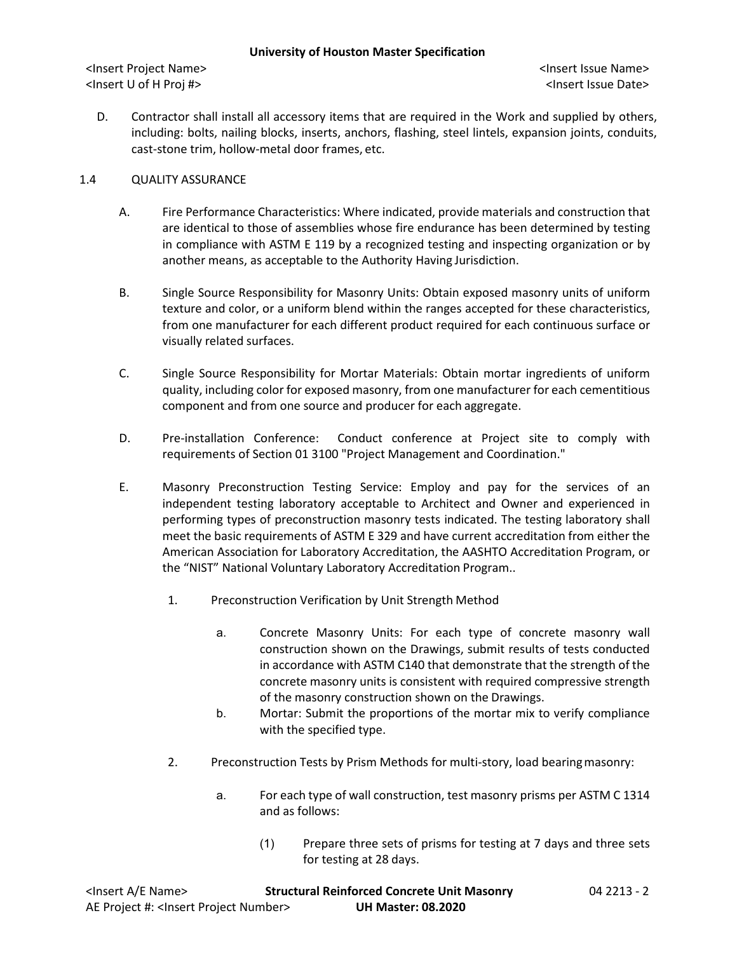D. Contractor shall install all accessory items that are required in the Work and supplied by others, including: bolts, nailing blocks, inserts, anchors, flashing, steel lintels, expansion joints, conduits, cast-stone trim, hollow-metal door frames, etc.

# 1.4 QUALITY ASSURANCE

- A. Fire Performance Characteristics: Where indicated, provide materials and construction that are identical to those of assemblies whose fire endurance has been determined by testing in compliance with ASTM E 119 by a recognized testing and inspecting organization or by another means, as acceptable to the Authority Having Jurisdiction.
- B. Single Source Responsibility for Masonry Units: Obtain exposed masonry units of uniform texture and color, or a uniform blend within the ranges accepted for these characteristics, from one manufacturer for each different product required for each continuous surface or visually related surfaces.
- C. Single Source Responsibility for Mortar Materials: Obtain mortar ingredients of uniform quality, including color for exposed masonry, from one manufacturer for each cementitious component and from one source and producer for each aggregate.
- D. Pre-installation Conference: Conduct conference at Project site to comply with requirements of Section 01 3100 "Project Management and Coordination."
- E. Masonry Preconstruction Testing Service: Employ and pay for the services of an independent testing laboratory acceptable to Architect and Owner and experienced in performing types of preconstruction masonry tests indicated. The testing laboratory shall meet the basic requirements of ASTM E 329 and have current accreditation from either the American Association for Laboratory Accreditation, the AASHTO Accreditation Program, or the "NIST" National Voluntary Laboratory Accreditation Program..
	- 1. Preconstruction Verification by Unit Strength Method
		- a. Concrete Masonry Units: For each type of concrete masonry wall construction shown on the Drawings, submit results of tests conducted in accordance with ASTM C140 that demonstrate that the strength of the concrete masonry units is consistent with required compressive strength of the masonry construction shown on the Drawings.
		- b. Mortar: Submit the proportions of the mortar mix to verify compliance with the specified type.
	- 2. Preconstruction Tests by Prism Methods for multi-story, load bearingmasonry:
		- a. For each type of wall construction, test masonry prisms per ASTM C 1314 and as follows:
			- (1) Prepare three sets of prisms for testing at 7 days and three sets for testing at 28 days.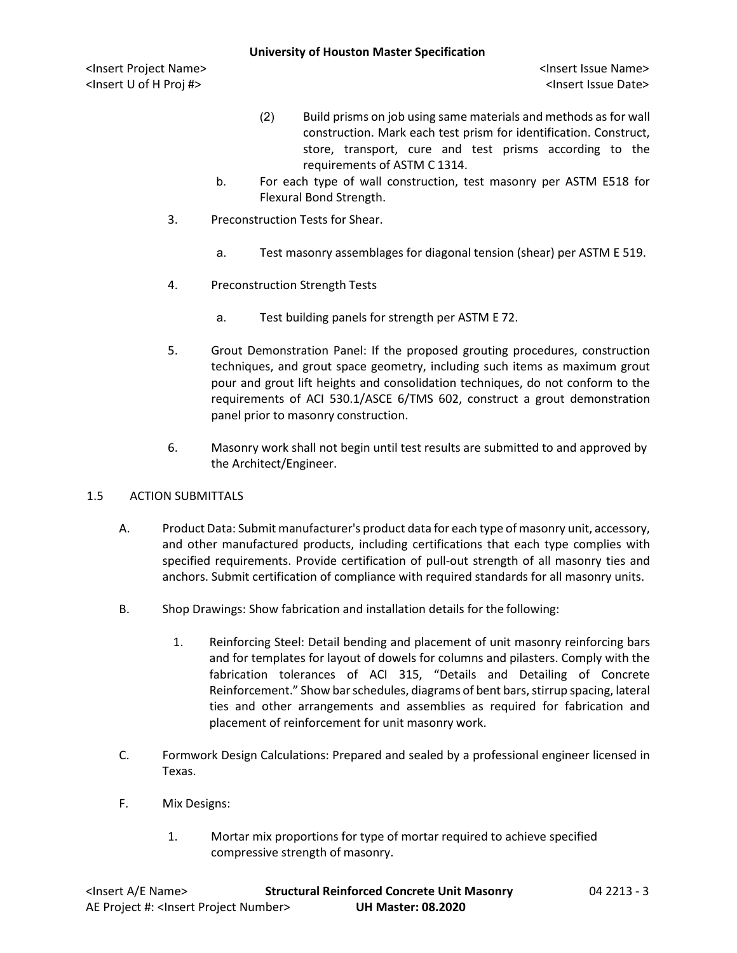- (2) Build prisms on job using same materials and methods as for wall construction. Mark each test prism for identification. Construct, store, transport, cure and test prisms according to the requirements of ASTM C 1314.
- b. For each type of wall construction, test masonry per ASTM E518 for Flexural Bond Strength.
- 3. Preconstruction Tests for Shear.
	- a. Test masonry assemblages for diagonal tension (shear) per ASTM E 519.
- 4. Preconstruction Strength Tests
	- a. Test building panels for strength per ASTM E 72.
- 5. Grout Demonstration Panel: If the proposed grouting procedures, construction techniques, and grout space geometry, including such items as maximum grout pour and grout lift heights and consolidation techniques, do not conform to the requirements of ACI 530.1/ASCE 6/TMS 602, construct a grout demonstration panel prior to masonry construction.
- 6. Masonry work shall not begin until test results are submitted to and approved by the Architect/Engineer.

### 1.5 ACTION SUBMITTALS

- A. Product Data: Submit manufacturer's product data for each type of masonry unit, accessory, and other manufactured products, including certifications that each type complies with specified requirements. Provide certification of pull-out strength of all masonry ties and anchors. Submit certification of compliance with required standards for all masonry units.
- B. Shop Drawings: Show fabrication and installation details for the following:
	- 1. Reinforcing Steel: Detail bending and placement of unit masonry reinforcing bars and for templates for layout of dowels for columns and pilasters. Comply with the fabrication tolerances of ACI 315, "Details and Detailing of Concrete Reinforcement." Show bar schedules, diagrams of bent bars, stirrup spacing, lateral ties and other arrangements and assemblies as required for fabrication and placement of reinforcement for unit masonry work.
- C. Formwork Design Calculations: Prepared and sealed by a professional engineer licensed in Texas.
- F. Mix Designs:
	- 1. Mortar mix proportions for type of mortar required to achieve specified compressive strength of masonry.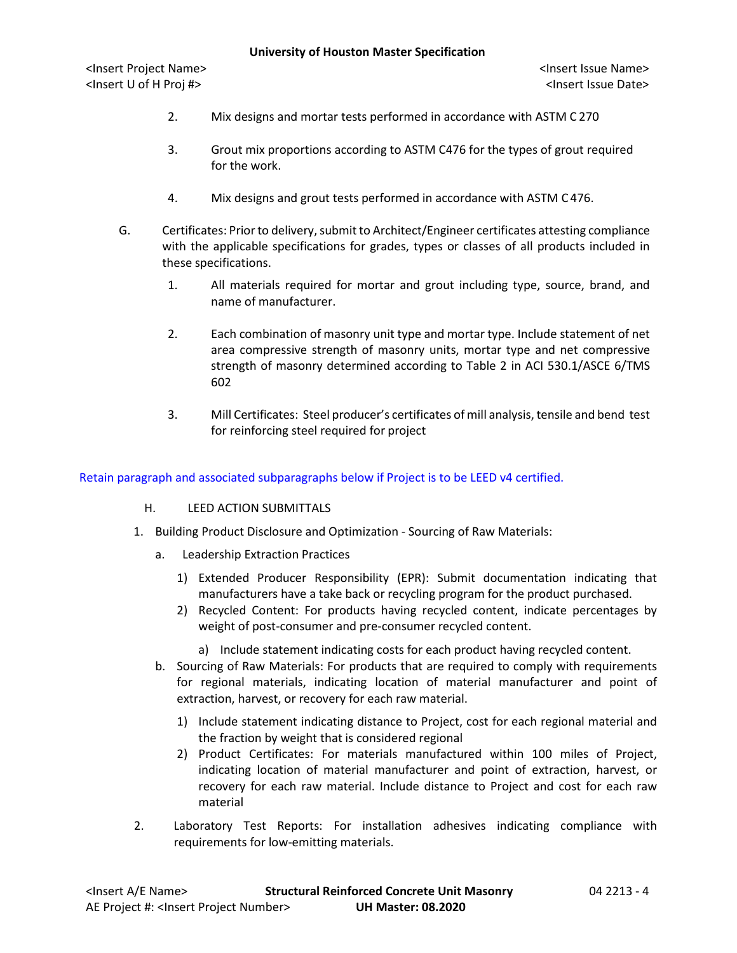- 2. Mix designs and mortar tests performed in accordance with ASTM C 270
- 3. Grout mix proportions according to ASTM C476 for the types of grout required for the work.
- 4. Mix designs and grout tests performed in accordance with ASTM C 476.
- G. Certificates: Prior to delivery, submit to Architect/Engineer certificates attesting compliance with the applicable specifications for grades, types or classes of all products included in these specifications.
	- 1. All materials required for mortar and grout including type, source, brand, and name of manufacturer.
	- 2. Each combination of masonry unit type and mortar type. Include statement of net area compressive strength of masonry units, mortar type and net compressive strength of masonry determined according to Table 2 in ACI 530.1/ASCE 6/TMS 602
	- 3. Mill Certificates: Steel producer's certificates of mill analysis, tensile and bend test for reinforcing steel required for project

Retain paragraph and associated subparagraphs below if Project is to be LEED v4 certified.

- H. LEED ACTION SUBMITTALS
- 1. Building Product Disclosure and Optimization Sourcing of Raw Materials:
	- a. Leadership Extraction Practices
		- 1) Extended Producer Responsibility (EPR): Submit documentation indicating that manufacturers have a take back or recycling program for the product purchased.
		- 2) Recycled Content: For products having recycled content, indicate percentages by weight of post-consumer and pre-consumer recycled content.
			- a) Include statement indicating costs for each product having recycled content.
	- b. Sourcing of Raw Materials: For products that are required to comply with requirements for regional materials, indicating location of material manufacturer and point of extraction, harvest, or recovery for each raw material.
		- 1) Include statement indicating distance to Project, cost for each regional material and the fraction by weight that is considered regional
		- 2) Product Certificates: For materials manufactured within 100 miles of Project, indicating location of material manufacturer and point of extraction, harvest, or recovery for each raw material. Include distance to Project and cost for each raw material
- 2. Laboratory Test Reports: For installation adhesives indicating compliance with requirements for low-emitting materials.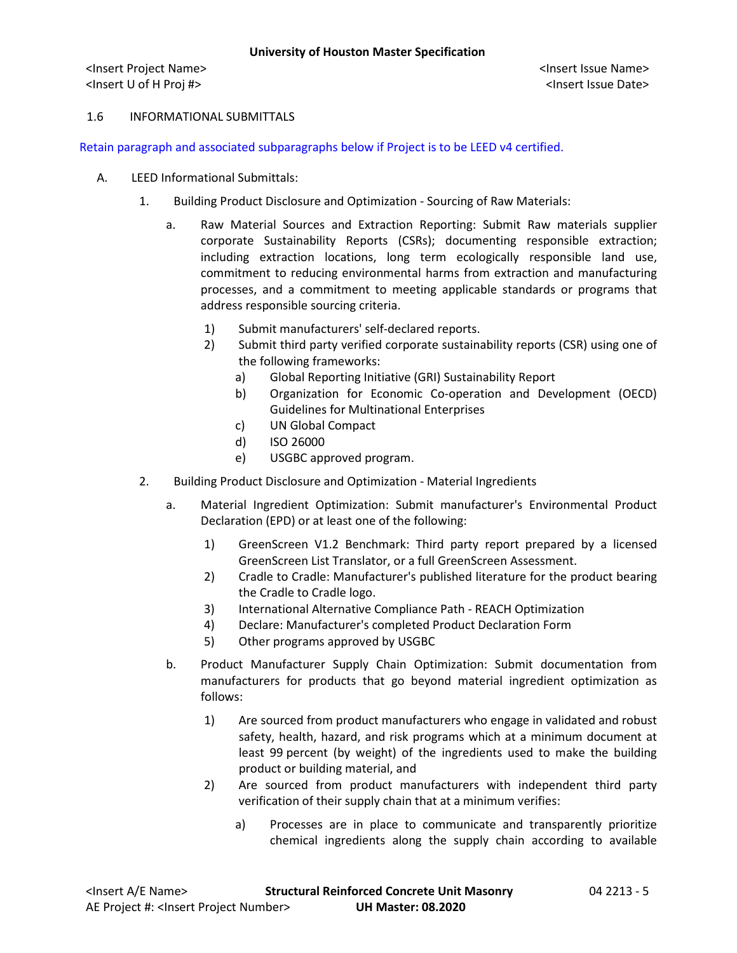#### 1.6 INFORMATIONAL SUBMITTALS

Retain paragraph and associated subparagraphs below if Project is to be LEED v4 certified.

- A. LEED Informational Submittals:
	- 1. Building Product Disclosure and Optimization Sourcing of Raw Materials:
		- a. Raw Material Sources and Extraction Reporting: Submit Raw materials supplier corporate Sustainability Reports (CSRs); documenting responsible extraction; including extraction locations, long term ecologically responsible land use, commitment to reducing environmental harms from extraction and manufacturing processes, and a commitment to meeting applicable standards or programs that address responsible sourcing criteria.
			- 1) Submit manufacturers' self-declared reports.
			- 2) Submit third party verified corporate sustainability reports (CSR) using one of the following frameworks:
				- a) Global Reporting Initiative (GRI) Sustainability Report
				- b) Organization for Economic Co-operation and Development (OECD) Guidelines for Multinational Enterprises
				- c) UN Global Compact
				- d) ISO 26000
				- e) USGBC approved program.
	- 2. Building Product Disclosure and Optimization Material Ingredients
		- a. Material Ingredient Optimization: Submit manufacturer's Environmental Product Declaration (EPD) or at least one of the following:
			- 1) GreenScreen V1.2 Benchmark: Third party report prepared by a licensed GreenScreen List Translator, or a full GreenScreen Assessment.
			- 2) Cradle to Cradle: Manufacturer's published literature for the product bearing the Cradle to Cradle logo.
			- 3) International Alternative Compliance Path REACH Optimization
			- 4) Declare: Manufacturer's completed Product Declaration Form
			- 5) Other programs approved by USGBC
		- b. Product Manufacturer Supply Chain Optimization: Submit documentation from manufacturers for products that go beyond material ingredient optimization as follows:
			- 1) Are sourced from product manufacturers who engage in validated and robust safety, health, hazard, and risk programs which at a minimum document at least 99 percent (by weight) of the ingredients used to make the building product or building material, and
			- 2) Are sourced from product manufacturers with independent third party verification of their supply chain that at a minimum verifies:
				- a) Processes are in place to communicate and transparently prioritize chemical ingredients along the supply chain according to available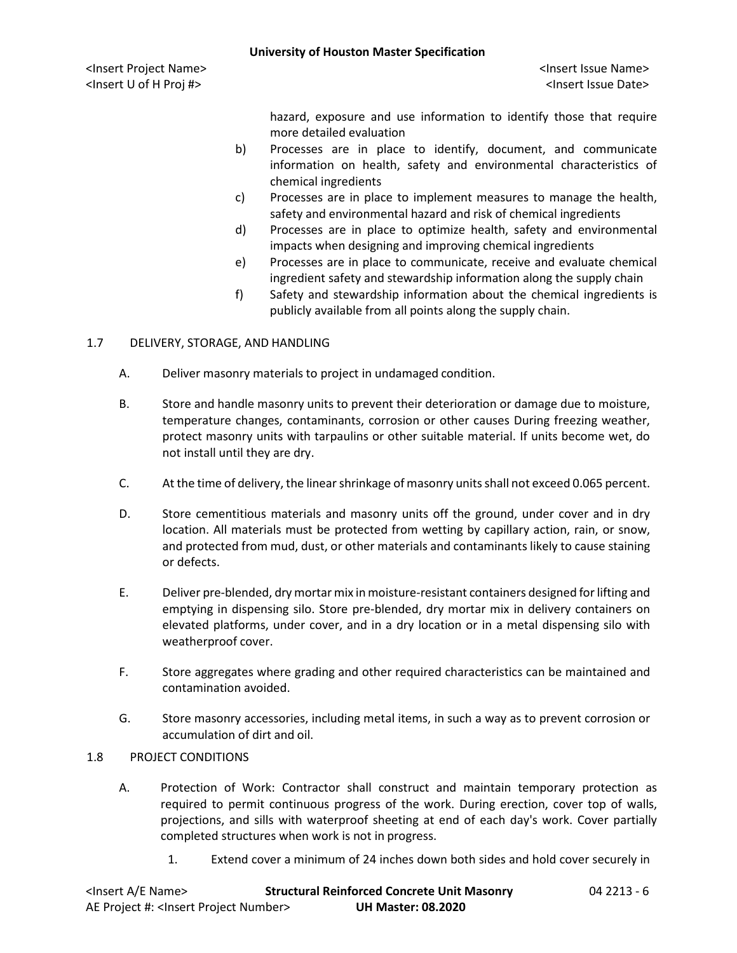hazard, exposure and use information to identify those that require more detailed evaluation

- b) Processes are in place to identify, document, and communicate information on health, safety and environmental characteristics of chemical ingredients
- c) Processes are in place to implement measures to manage the health, safety and environmental hazard and risk of chemical ingredients
- d) Processes are in place to optimize health, safety and environmental impacts when designing and improving chemical ingredients
- e) Processes are in place to communicate, receive and evaluate chemical ingredient safety and stewardship information along the supply chain
- f) Safety and stewardship information about the chemical ingredients is publicly available from all points along the supply chain.

# 1.7 DELIVERY, STORAGE, AND HANDLING

- A. Deliver masonry materials to project in undamaged condition.
- B. Store and handle masonry units to prevent their deterioration or damage due to moisture, temperature changes, contaminants, corrosion or other causes During freezing weather, protect masonry units with tarpaulins or other suitable material. If units become wet, do not install until they are dry.
- C. At the time of delivery, the linear shrinkage of masonry units shall not exceed 0.065 percent.
- D. Store cementitious materials and masonry units off the ground, under cover and in dry location. All materials must be protected from wetting by capillary action, rain, or snow, and protected from mud, dust, or other materials and contaminants likely to cause staining or defects.
- E. Deliver pre-blended, dry mortar mix in moisture-resistant containers designed for lifting and emptying in dispensing silo. Store pre-blended, dry mortar mix in delivery containers on elevated platforms, under cover, and in a dry location or in a metal dispensing silo with weatherproof cover.
- F. Store aggregates where grading and other required characteristics can be maintained and contamination avoided.
- G. Store masonry accessories, including metal items, in such a way as to prevent corrosion or accumulation of dirt and oil.

### 1.8 PROJECT CONDITIONS

- A. Protection of Work: Contractor shall construct and maintain temporary protection as required to permit continuous progress of the work. During erection, cover top of walls, projections, and sills with waterproof sheeting at end of each day's work. Cover partially completed structures when work is not in progress.
	- 1. Extend cover a minimum of 24 inches down both sides and hold cover securely in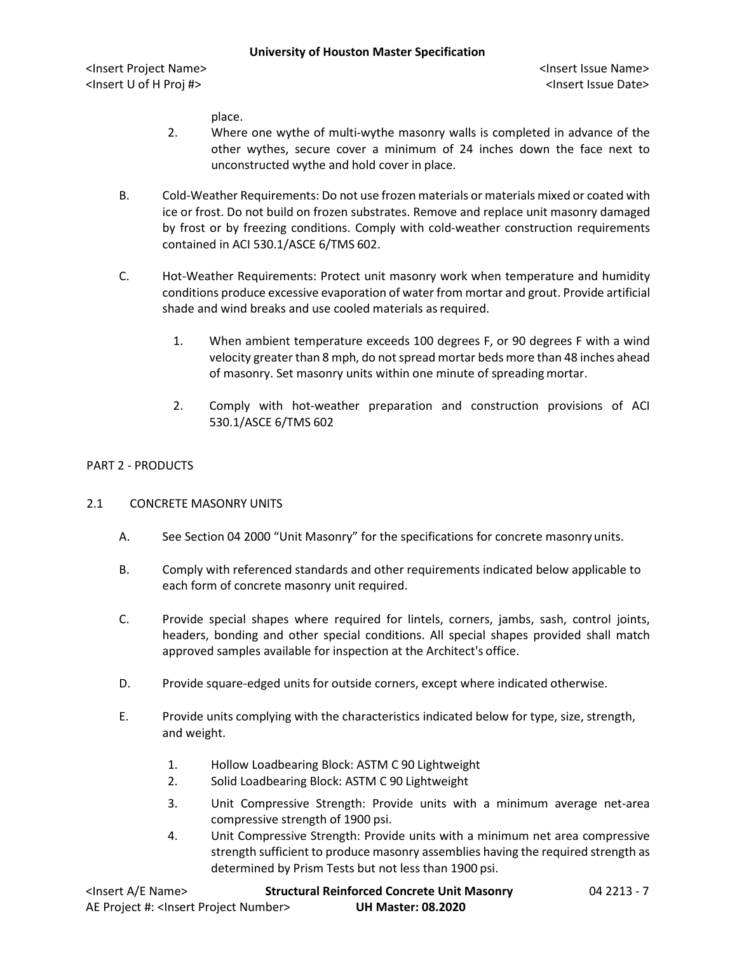place.

- 2. Where one wythe of multi-wythe masonry walls is completed in advance of the other wythes, secure cover a minimum of 24 inches down the face next to unconstructed wythe and hold cover in place.
- B. Cold-Weather Requirements: Do not use frozen materials or materials mixed or coated with ice or frost. Do not build on frozen substrates. Remove and replace unit masonry damaged by frost or by freezing conditions. Comply with cold-weather construction requirements contained in ACI 530.1/ASCE 6/TMS 602.
- C. Hot-Weather Requirements: Protect unit masonry work when temperature and humidity conditions produce excessive evaporation of water from mortar and grout. Provide artificial shade and wind breaks and use cooled materials as required.
	- 1. When ambient temperature exceeds 100 degrees F, or 90 degrees F with a wind velocity greater than 8 mph, do not spread mortar beds more than 48 inches ahead of masonry. Set masonry units within one minute of spreading mortar.
	- 2. Comply with hot-weather preparation and construction provisions of ACI 530.1/ASCE 6/TMS 602

#### PART 2 - PRODUCTS

#### 2.1 CONCRETE MASONRY UNITS

- A. See Section 04 2000 "Unit Masonry" for the specifications for concrete masonry units.
- B. Comply with referenced standards and other requirements indicated below applicable to each form of concrete masonry unit required.
- C. Provide special shapes where required for lintels, corners, jambs, sash, control joints, headers, bonding and other special conditions. All special shapes provided shall match approved samples available for inspection at the Architect's office.
- D. Provide square-edged units for outside corners, except where indicated otherwise.
- E. Provide units complying with the characteristics indicated below for type, size, strength, and weight.
	- 1. Hollow Loadbearing Block: ASTM C 90 Lightweight
	- 2. Solid Loadbearing Block: ASTM C 90 Lightweight
	- 3. Unit Compressive Strength: Provide units with a minimum average net-area compressive strength of 1900 psi.
	- 4. Unit Compressive Strength: Provide units with a minimum net area compressive strength sufficient to produce masonry assemblies having the required strength as determined by Prism Tests but not less than 1900 psi.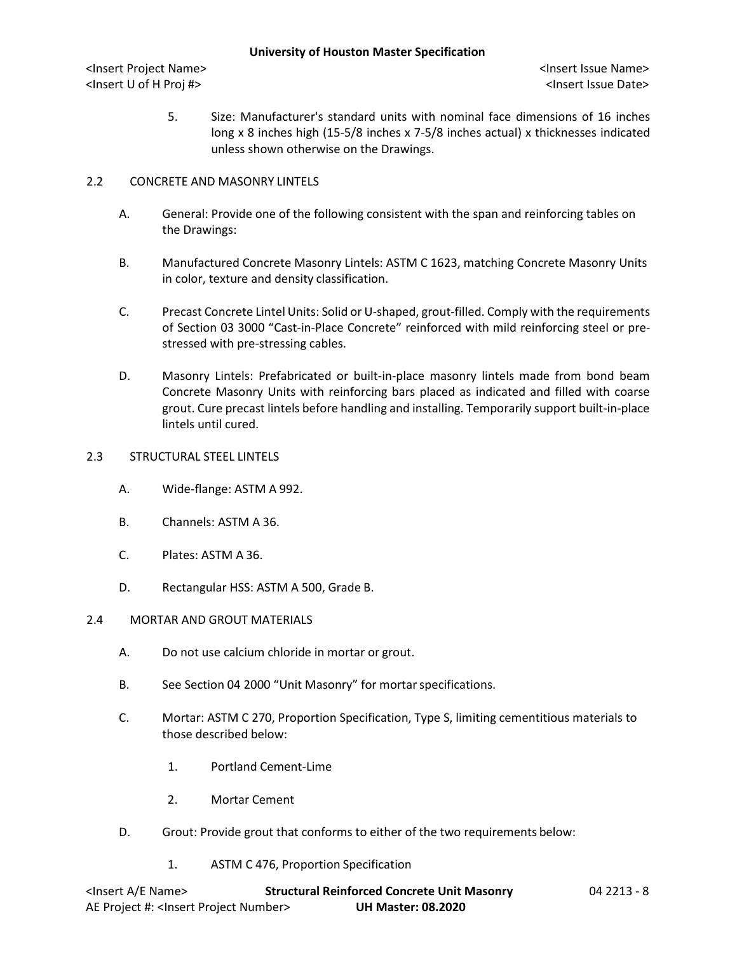5. Size: Manufacturer's standard units with nominal face dimensions of 16 inches long x 8 inches high (15-5/8 inches x 7-5/8 inches actual) x thicknesses indicated unless shown otherwise on the Drawings.

### 2.2 CONCRETE AND MASONRY LINTELS

- A. General: Provide one of the following consistent with the span and reinforcing tables on the Drawings:
- B. Manufactured Concrete Masonry Lintels: ASTM C 1623, matching Concrete Masonry Units in color, texture and density classification.
- C. Precast Concrete Lintel Units: Solid or U-shaped, grout-filled. Comply with the requirements of Section 03 3000 "Cast-in-Place Concrete" reinforced with mild reinforcing steel or prestressed with pre-stressing cables.
- D. Masonry Lintels: Prefabricated or built-in-place masonry lintels made from bond beam Concrete Masonry Units with reinforcing bars placed as indicated and filled with coarse grout. Cure precast lintels before handling and installing. Temporarily support built-in-place lintels until cured.

### 2.3 STRUCTURAL STEEL LINTELS

- A. Wide-flange: ASTM A 992.
- B. Channels: ASTM A 36.
- C. Plates: ASTM A 36.
- D. Rectangular HSS: ASTM A 500, Grade B.
- 2.4 MORTAR AND GROUT MATERIALS
	- A. Do not use calcium chloride in mortar or grout.
	- B. See Section 04 2000 "Unit Masonry" for mortar specifications.
	- C. Mortar: ASTM C 270, Proportion Specification, Type S, limiting cementitious materials to those described below:
		- 1. Portland Cement-Lime
		- 2. Mortar Cement
	- D. Grout: Provide grout that conforms to either of the two requirements below:
		- 1. ASTM C 476, Proportion Specification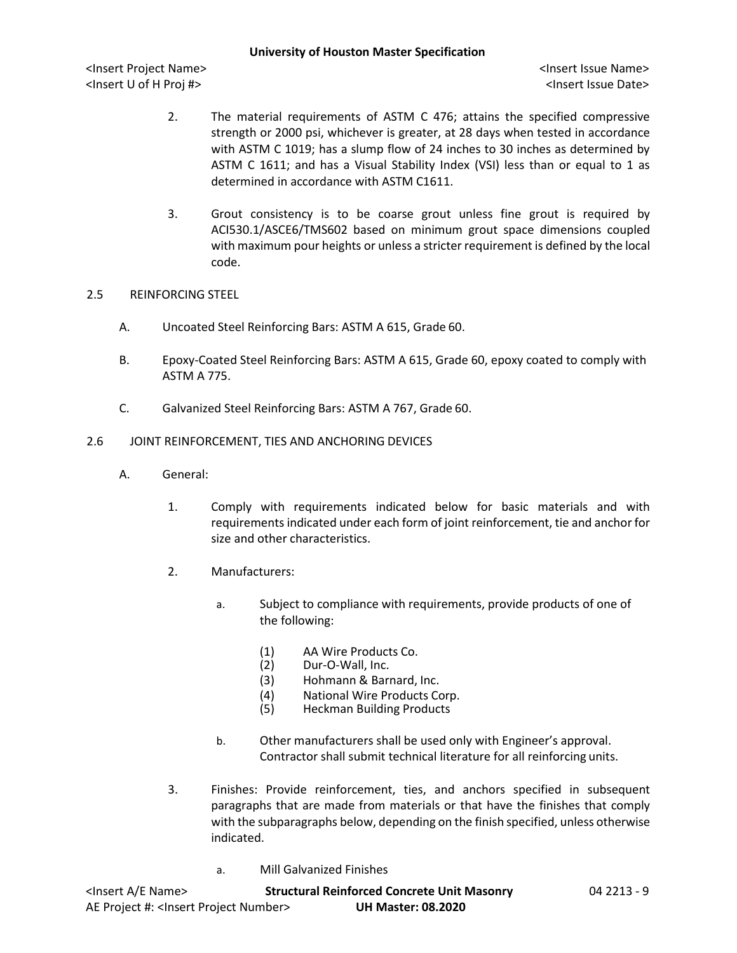- 2. The material requirements of ASTM C 476; attains the specified compressive strength or 2000 psi, whichever is greater, at 28 days when tested in accordance with ASTM C 1019; has a slump flow of 24 inches to 30 inches as determined by ASTM C 1611; and has a Visual Stability Index (VSI) less than or equal to 1 as determined in accordance with ASTM C1611.
- 3. Grout consistency is to be coarse grout unless fine grout is required by ACI530.1/ASCE6/TMS602 based on minimum grout space dimensions coupled with maximum pour heights or unless a stricter requirement is defined by the local code.

#### 2.5 REINFORCING STEEL

- A. Uncoated Steel Reinforcing Bars: ASTM A 615, Grade 60.
- B. Epoxy-Coated Steel Reinforcing Bars: ASTM A 615, Grade 60, epoxy coated to comply with ASTM A 775.
- C. Galvanized Steel Reinforcing Bars: ASTM A 767, Grade 60.

#### 2.6 JOINT REINFORCEMENT, TIES AND ANCHORING DEVICES

- A. General:
	- 1. Comply with requirements indicated below for basic materials and with requirements indicated under each form of joint reinforcement, tie and anchor for size and other characteristics.
	- 2. Manufacturers:
		- a. Subject to compliance with requirements, provide products of one of the following:
			- (1) AA Wire Products Co.<br>(2) Dur-O-Wall, Inc.
			- Dur-O-Wall, Inc.
			- (3) Hohmann & Barnard, Inc.
			- (4) National Wire Products Corp.<br>(5) Heckman Building Products
			- Heckman Building Products
		- b. Other manufacturers shall be used only with Engineer's approval. Contractor shall submit technical literature for all reinforcing units.
	- 3. Finishes: Provide reinforcement, ties, and anchors specified in subsequent paragraphs that are made from materials or that have the finishes that comply with the subparagraphs below, depending on the finish specified, unless otherwise indicated.
		- a. Mill Galvanized Finishes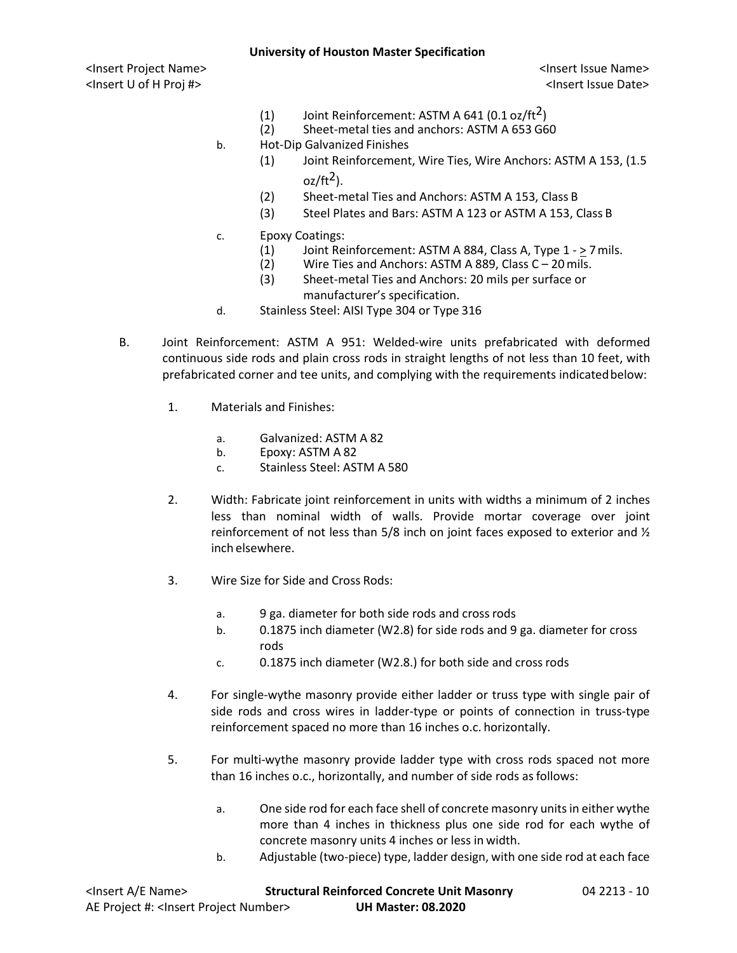#### **University of Houston Master Specification**

<Insert Project Name> <Insert Issue Name> <Insert U of H Proj #> <Insert Issue Date>

- (1) Joint Reinforcement: ASTM A 641  $(0.1 \text{ oz/ft}^2)$
- (2) Sheet-metal ties and anchors: ASTM A 653 G60
- b. Hot-Dip Galvanized Finishes
	- (1) Joint Reinforcement, Wire Ties, Wire Anchors: ASTM A 153, (1.5  $oz/ft<sup>2</sup>$ ).
	- (2) Sheet-metal Ties and Anchors: ASTM A 153, Class B
	- (3) Steel Plates and Bars: ASTM A 123 or ASTM A 153, Class B
- c. Epoxy Coatings:
	- (1) Joint Reinforcement: ASTM A 884, Class A, Type  $1 \ge 7$  mils.<br>(2) Wire Ties and Anchors: ASTM A 889, Class C 20 mils.
	- Wire Ties and Anchors: ASTM A 889, Class  $C 20$  mils.
	- (3) Sheet-metal Ties and Anchors: 20 mils per surface or manufacturer's specification.
- d. Stainless Steel: AISI Type 304 or Type 316
- B. Joint Reinforcement: ASTM A 951: Welded-wire units prefabricated with deformed continuous side rods and plain cross rods in straight lengths of not less than 10 feet, with prefabricated corner and tee units, and complying with the requirements indicatedbelow:
	- 1. Materials and Finishes:
		- a. Galvanized: ASTM A 82
		- b. Epoxy: ASTM A 82
		- c. Stainless Steel: ASTM A 580
	- 2. Width: Fabricate joint reinforcement in units with widths a minimum of 2 inches less than nominal width of walls. Provide mortar coverage over joint reinforcement of not less than 5/8 inch on joint faces exposed to exterior and  $\frac{1}{2}$ inch elsewhere.
	- 3. Wire Size for Side and Cross Rods:
		- a. 9 ga. diameter for both side rods and crossrods
		- b. 0.1875 inch diameter (W2.8) for side rods and 9 ga. diameter for cross rods
		- c. 0.1875 inch diameter (W2.8.) for both side and cross rods
	- 4. For single-wythe masonry provide either ladder or truss type with single pair of side rods and cross wires in ladder-type or points of connection in truss-type reinforcement spaced no more than 16 inches o.c. horizontally.
	- 5. For multi-wythe masonry provide ladder type with cross rods spaced not more than 16 inches o.c., horizontally, and number of side rods asfollows:
		- a. One side rod for each face shell of concrete masonry units in either wythe more than 4 inches in thickness plus one side rod for each wythe of concrete masonry units 4 inches or less in width.
		- b. Adjustable (two-piece) type, ladder design, with one side rod at each face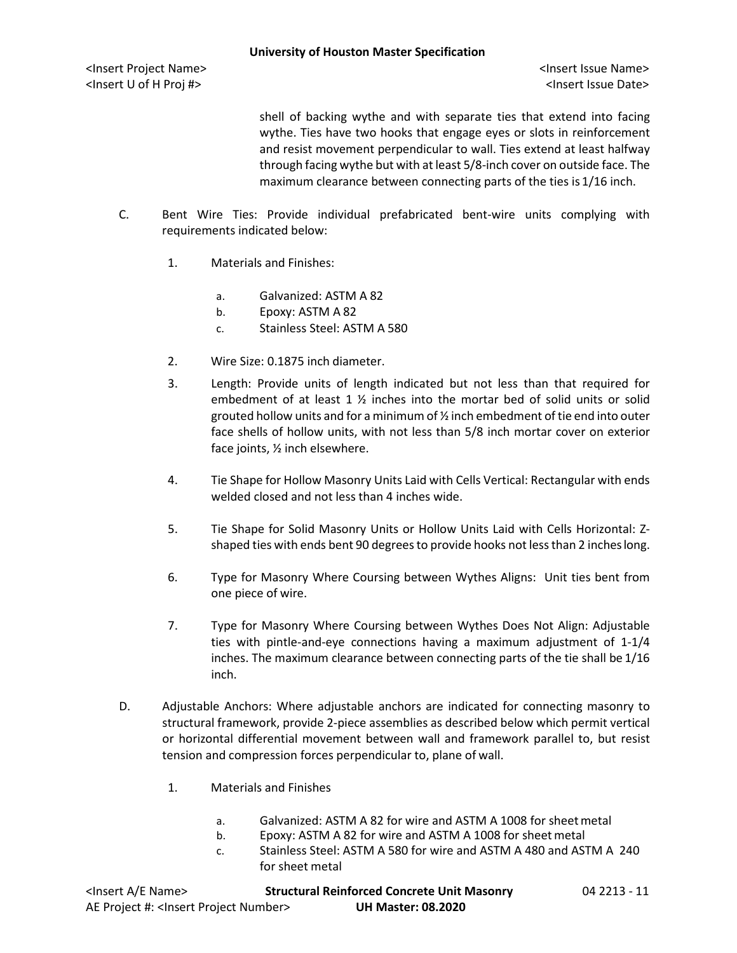shell of backing wythe and with separate ties that extend into facing wythe. Ties have two hooks that engage eyes or slots in reinforcement and resist movement perpendicular to wall. Ties extend at least halfway through facing wythe but with at least 5/8-inch cover on outside face. The maximum clearance between connecting parts of the ties is 1/16 inch.

- C. Bent Wire Ties: Provide individual prefabricated bent-wire units complying with requirements indicated below:
	- 1. Materials and Finishes:
		- a. Galvanized: ASTM A 82
		- b. Epoxy: ASTM A 82
		- c. Stainless Steel: ASTM A 580
	- 2. Wire Size: 0.1875 inch diameter.
	- 3. Length: Provide units of length indicated but not less than that required for embedment of at least 1  $\frac{1}{2}$  inches into the mortar bed of solid units or solid grouted hollow units and for a minimum of ½ inch embedment of tie end into outer face shells of hollow units, with not less than 5/8 inch mortar cover on exterior face joints, ½ inch elsewhere.
	- 4. Tie Shape for Hollow Masonry Units Laid with Cells Vertical: Rectangular with ends welded closed and not less than 4 inches wide.
	- 5. Tie Shape for Solid Masonry Units or Hollow Units Laid with Cells Horizontal: Zshaped ties with ends bent 90 degrees to provide hooks not less than 2 inches long.
	- 6. Type for Masonry Where Coursing between Wythes Aligns: Unit ties bent from one piece of wire.
	- 7. Type for Masonry Where Coursing between Wythes Does Not Align: Adjustable ties with pintle-and-eye connections having a maximum adjustment of 1-1/4 inches. The maximum clearance between connecting parts of the tie shall be 1/16 inch.
- D. Adjustable Anchors: Where adjustable anchors are indicated for connecting masonry to structural framework, provide 2-piece assemblies as described below which permit vertical or horizontal differential movement between wall and framework parallel to, but resist tension and compression forces perpendicular to, plane of wall.
	- 1. Materials and Finishes
		- a. Galvanized: ASTM A 82 for wire and ASTM A 1008 for sheet metal
		- b. Epoxy: ASTM A 82 for wire and ASTM A 1008 for sheet metal
		- c. Stainless Steel: ASTM A 580 for wire and ASTM A 480 and ASTM A 240 for sheet metal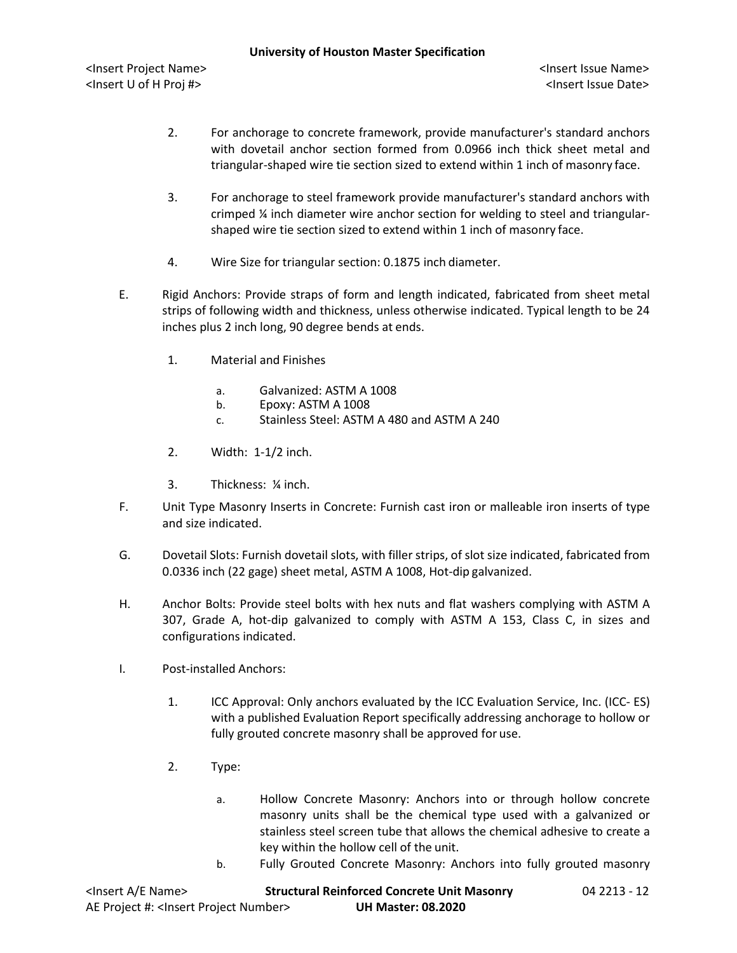- 2. For anchorage to concrete framework, provide manufacturer's standard anchors with dovetail anchor section formed from 0.0966 inch thick sheet metal and triangular-shaped wire tie section sized to extend within 1 inch of masonry face.
- 3. For anchorage to steel framework provide manufacturer's standard anchors with crimped ¼ inch diameter wire anchor section for welding to steel and triangularshaped wire tie section sized to extend within 1 inch of masonry face.
- 4. Wire Size for triangular section: 0.1875 inch diameter.
- E. Rigid Anchors: Provide straps of form and length indicated, fabricated from sheet metal strips of following width and thickness, unless otherwise indicated. Typical length to be 24 inches plus 2 inch long, 90 degree bends at ends.
	- 1. Material and Finishes
		- a. Galvanized: ASTM A 1008
		- b. Epoxy: ASTM A 1008
		- c. Stainless Steel: ASTM A 480 and ASTM A 240
	- 2. Width: 1-1/2 inch.
	- 3. Thickness: ¼ inch.
- F. Unit Type Masonry Inserts in Concrete: Furnish cast iron or malleable iron inserts of type and size indicated.
- G. Dovetail Slots: Furnish dovetail slots, with filler strips, of slot size indicated, fabricated from 0.0336 inch (22 gage) sheet metal, ASTM A 1008, Hot-dip galvanized.
- H. Anchor Bolts: Provide steel bolts with hex nuts and flat washers complying with ASTM A 307, Grade A, hot-dip galvanized to comply with ASTM A 153, Class C, in sizes and configurations indicated.
- I. Post-installed Anchors:
	- 1. ICC Approval: Only anchors evaluated by the ICC Evaluation Service, Inc. (ICC- ES) with a published Evaluation Report specifically addressing anchorage to hollow or fully grouted concrete masonry shall be approved for use.
	- 2. Type:
		- a. Hollow Concrete Masonry: Anchors into or through hollow concrete masonry units shall be the chemical type used with a galvanized or stainless steel screen tube that allows the chemical adhesive to create a key within the hollow cell of the unit.
		- b. Fully Grouted Concrete Masonry: Anchors into fully grouted masonry

| <insert a="" e="" name=""></insert>                  | <b>Structural Reinforced Concrete Unit Masonry</b> | 04 2213 - 12 |
|------------------------------------------------------|----------------------------------------------------|--------------|
| AE Project #: <lnsert number="" project=""></lnsert> | <b>UH Master: 08.2020</b>                          |              |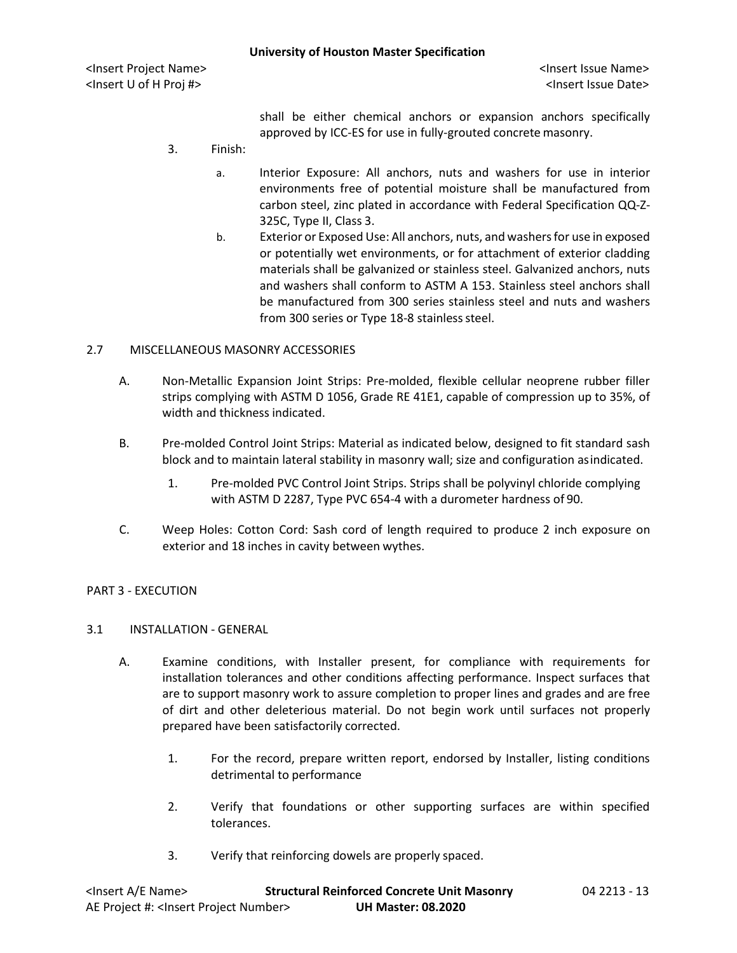shall be either chemical anchors or expansion anchors specifically approved by ICC-ES for use in fully-grouted concrete masonry.

- 3. Finish:
	- a. Interior Exposure: All anchors, nuts and washers for use in interior environments free of potential moisture shall be manufactured from carbon steel, zinc plated in accordance with Federal Specification QQ-Z-325C, Type II, Class 3.
	- b. Exterior or Exposed Use: All anchors, nuts, and washers for use in exposed or potentially wet environments, or for attachment of exterior cladding materials shall be galvanized or stainless steel. Galvanized anchors, nuts and washers shall conform to ASTM A 153. Stainless steel anchors shall be manufactured from 300 series stainless steel and nuts and washers from 300 series or Type 18-8 stainless steel.

### 2.7 MISCELLANEOUS MASONRY ACCESSORIES

- A. Non-Metallic Expansion Joint Strips: Pre-molded, flexible cellular neoprene rubber filler strips complying with ASTM D 1056, Grade RE 41E1, capable of compression up to 35%, of width and thickness indicated.
- B. Pre-molded Control Joint Strips: Material as indicated below, designed to fit standard sash block and to maintain lateral stability in masonry wall; size and configuration asindicated.
	- 1. Pre-molded PVC Control Joint Strips. Strips shall be polyvinyl chloride complying with ASTM D 2287, Type PVC 654-4 with a durometer hardness of 90.
- C. Weep Holes: Cotton Cord: Sash cord of length required to produce 2 inch exposure on exterior and 18 inches in cavity between wythes.

### PART 3 - EXECUTION

### 3.1 INSTALLATION - GENERAL

- A. Examine conditions, with Installer present, for compliance with requirements for installation tolerances and other conditions affecting performance. Inspect surfaces that are to support masonry work to assure completion to proper lines and grades and are free of dirt and other deleterious material. Do not begin work until surfaces not properly prepared have been satisfactorily corrected.
	- 1. For the record, prepare written report, endorsed by Installer, listing conditions detrimental to performance
	- 2. Verify that foundations or other supporting surfaces are within specified tolerances.
	- 3. Verify that reinforcing dowels are properly spaced.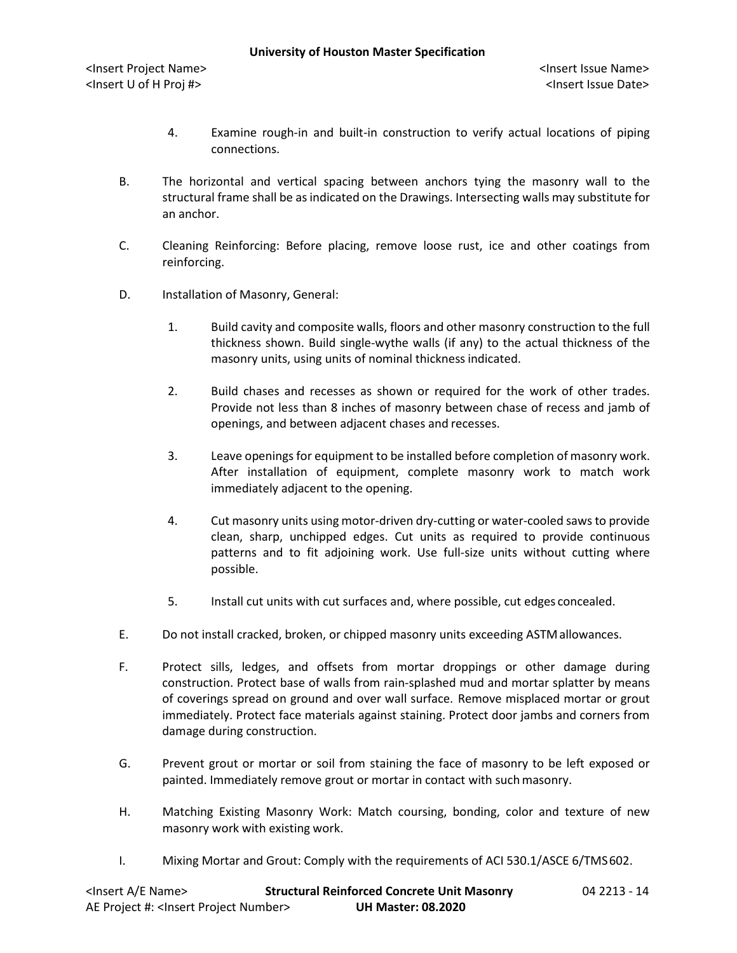- 4. Examine rough-in and built-in construction to verify actual locations of piping connections.
- B. The horizontal and vertical spacing between anchors tying the masonry wall to the structural frame shall be as indicated on the Drawings. Intersecting walls may substitute for an anchor.
- C. Cleaning Reinforcing: Before placing, remove loose rust, ice and other coatings from reinforcing.
- D. Installation of Masonry, General:
	- 1. Build cavity and composite walls, floors and other masonry construction to the full thickness shown. Build single-wythe walls (if any) to the actual thickness of the masonry units, using units of nominal thicknessindicated.
	- 2. Build chases and recesses as shown or required for the work of other trades. Provide not less than 8 inches of masonry between chase of recess and jamb of openings, and between adjacent chases and recesses.
	- 3. Leave openings for equipment to be installed before completion of masonry work. After installation of equipment, complete masonry work to match work immediately adjacent to the opening.
	- 4. Cut masonry units using motor-driven dry-cutting or water-cooled saws to provide clean, sharp, unchipped edges. Cut units as required to provide continuous patterns and to fit adjoining work. Use full-size units without cutting where possible.
	- 5. Install cut units with cut surfaces and, where possible, cut edges concealed.
- E. Do not install cracked, broken, or chipped masonry units exceeding ASTMallowances.
- F. Protect sills, ledges, and offsets from mortar droppings or other damage during construction. Protect base of walls from rain-splashed mud and mortar splatter by means of coverings spread on ground and over wall surface. Remove misplaced mortar or grout immediately. Protect face materials against staining. Protect door jambs and corners from damage during construction.
- G. Prevent grout or mortar or soil from staining the face of masonry to be left exposed or painted. Immediately remove grout or mortar in contact with such masonry.
- H. Matching Existing Masonry Work: Match coursing, bonding, color and texture of new masonry work with existing work.
- I. Mixing Mortar and Grout: Comply with the requirements of ACI 530.1/ASCE 6/TMS602.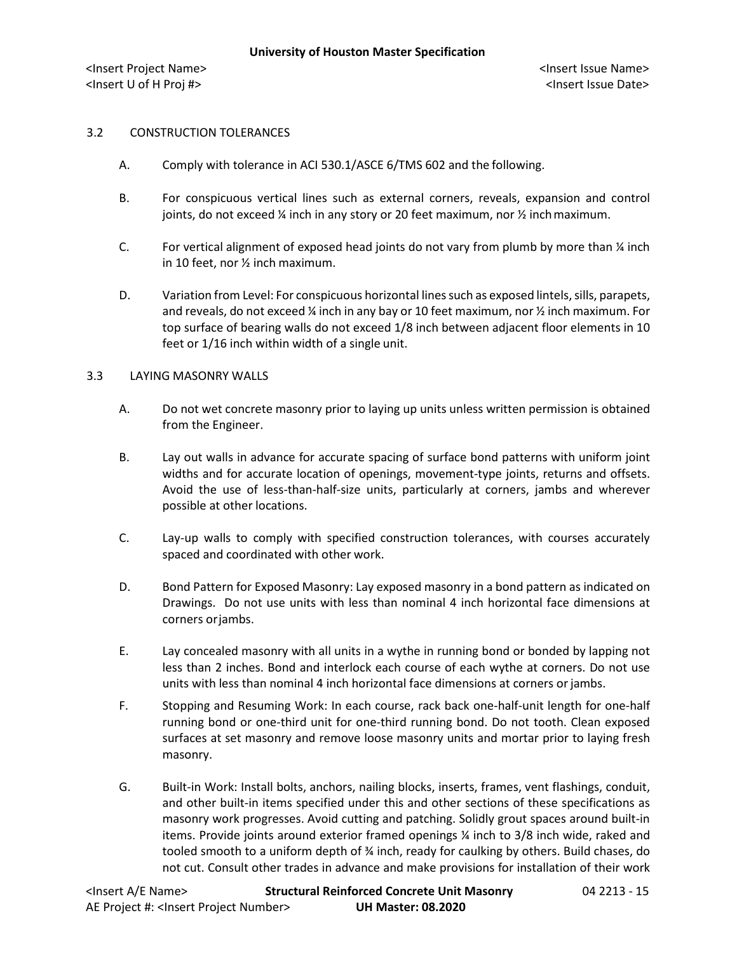#### 3.2 CONSTRUCTION TOLERANCES

- A. Comply with tolerance in ACI 530.1/ASCE 6/TMS 602 and the following.
- B. For conspicuous vertical lines such as external corners, reveals, expansion and control joints, do not exceed % inch in any story or 20 feet maximum, nor % inch maximum.
- C. For vertical alignment of exposed head joints do not vary from plumb by more than  $\frac{1}{2}$  inch in 10 feet, nor ½ inch maximum.
- D. Variation from Level: For conspicuous horizontal lines such as exposed lintels, sills, parapets, and reveals, do not exceed  $\frac{y}{x}$  inch in any bay or 10 feet maximum, nor  $\frac{y}{x}$  inch maximum. For top surface of bearing walls do not exceed 1/8 inch between adjacent floor elements in 10 feet or 1/16 inch within width of a single unit.

#### 3.3 LAYING MASONRY WALLS

- A. Do not wet concrete masonry prior to laying up units unless written permission is obtained from the Engineer.
- B. Lay out walls in advance for accurate spacing of surface bond patterns with uniform joint widths and for accurate location of openings, movement-type joints, returns and offsets. Avoid the use of less-than-half-size units, particularly at corners, jambs and wherever possible at other locations.
- C. Lay-up walls to comply with specified construction tolerances, with courses accurately spaced and coordinated with other work.
- D. Bond Pattern for Exposed Masonry: Lay exposed masonry in a bond pattern as indicated on Drawings. Do not use units with less than nominal 4 inch horizontal face dimensions at corners orjambs.
- E. Lay concealed masonry with all units in a wythe in running bond or bonded by lapping not less than 2 inches. Bond and interlock each course of each wythe at corners. Do not use units with less than nominal 4 inch horizontal face dimensions at corners orjambs.
- F. Stopping and Resuming Work: In each course, rack back one-half-unit length for one-half running bond or one-third unit for one-third running bond. Do not tooth. Clean exposed surfaces at set masonry and remove loose masonry units and mortar prior to laying fresh masonry.
- G. Built-in Work: Install bolts, anchors, nailing blocks, inserts, frames, vent flashings, conduit, and other built-in items specified under this and other sections of these specifications as masonry work progresses. Avoid cutting and patching. Solidly grout spaces around built-in items. Provide joints around exterior framed openings ¼ inch to 3/8 inch wide, raked and tooled smooth to a uniform depth of ¾ inch, ready for caulking by others. Build chases, do not cut. Consult other trades in advance and make provisions for installation of their work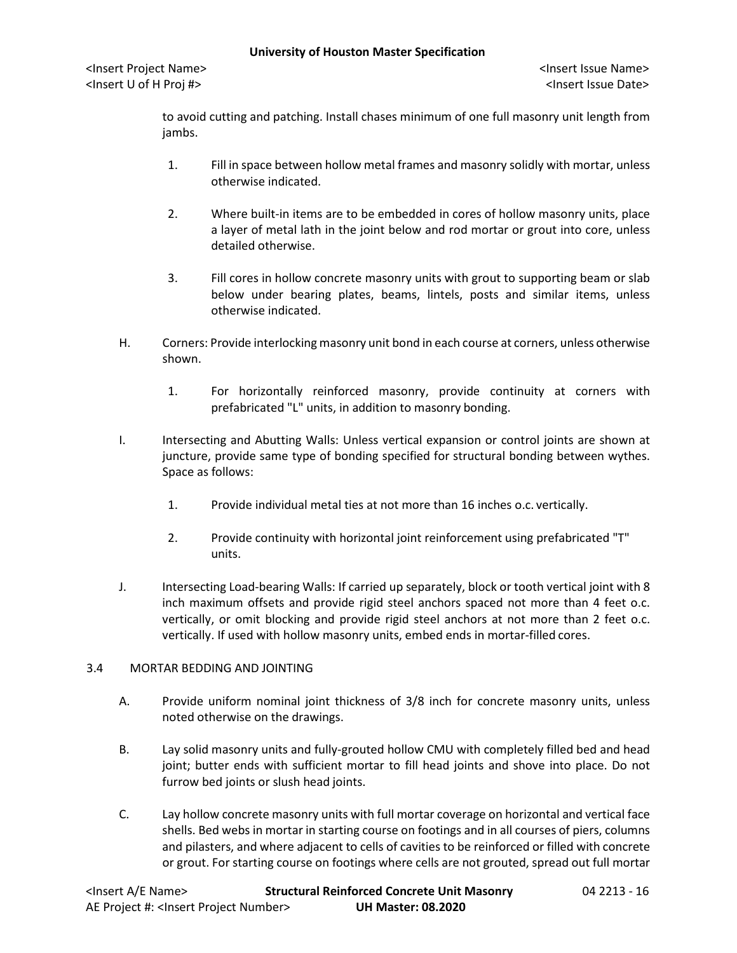to avoid cutting and patching. Install chases minimum of one full masonry unit length from jambs.

- 1. Fill in space between hollow metal frames and masonry solidly with mortar, unless otherwise indicated.
- 2. Where built-in items are to be embedded in cores of hollow masonry units, place a layer of metal lath in the joint below and rod mortar or grout into core, unless detailed otherwise.
- 3. Fill cores in hollow concrete masonry units with grout to supporting beam or slab below under bearing plates, beams, lintels, posts and similar items, unless otherwise indicated.
- H. Corners: Provide interlocking masonry unit bond in each course at corners, unless otherwise shown.
	- 1. For horizontally reinforced masonry, provide continuity at corners with prefabricated "L" units, in addition to masonry bonding.
- I. Intersecting and Abutting Walls: Unless vertical expansion or control joints are shown at juncture, provide same type of bonding specified for structural bonding between wythes. Space as follows:
	- 1. Provide individual metal ties at not more than 16 inches o.c. vertically.
	- 2. Provide continuity with horizontal joint reinforcement using prefabricated "T" units.
- J. Intersecting Load-bearing Walls: If carried up separately, block or tooth vertical joint with 8 inch maximum offsets and provide rigid steel anchors spaced not more than 4 feet o.c. vertically, or omit blocking and provide rigid steel anchors at not more than 2 feet o.c. vertically. If used with hollow masonry units, embed ends in mortar-filled cores.

# 3.4 MORTAR BEDDING AND JOINTING

- A. Provide uniform nominal joint thickness of 3/8 inch for concrete masonry units, unless noted otherwise on the drawings.
- B. Lay solid masonry units and fully-grouted hollow CMU with completely filled bed and head joint; butter ends with sufficient mortar to fill head joints and shove into place. Do not furrow bed joints or slush head joints.
- C. Lay hollow concrete masonry units with full mortar coverage on horizontal and vertical face shells. Bed webs in mortar in starting course on footings and in all courses of piers, columns and pilasters, and where adjacent to cells of cavities to be reinforced or filled with concrete or grout. For starting course on footings where cells are not grouted, spread out full mortar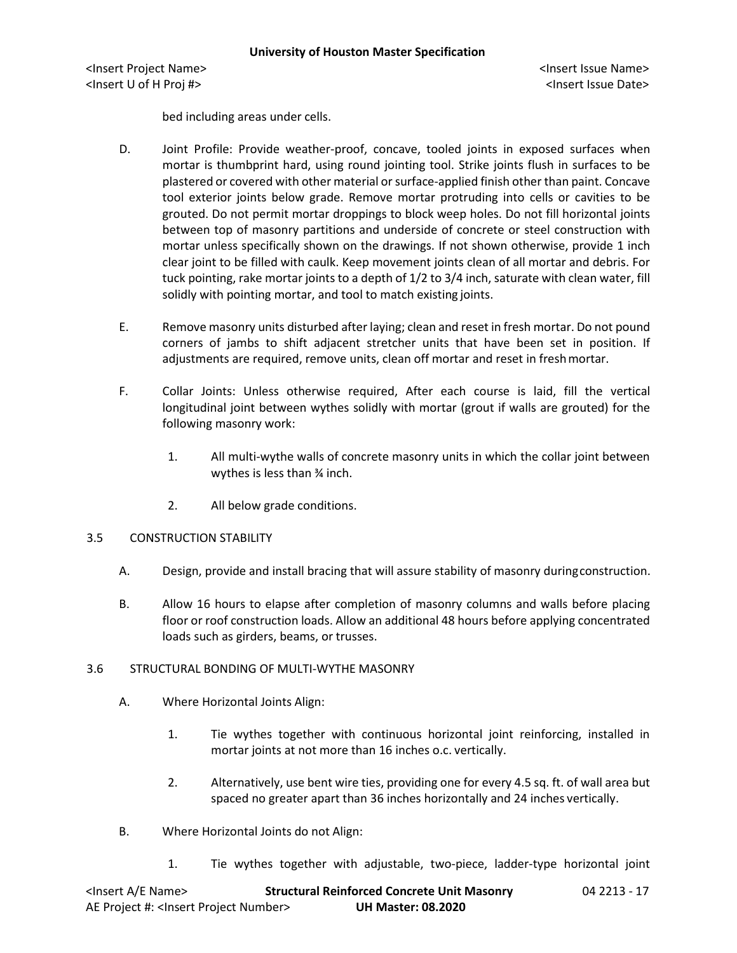bed including areas under cells.

- D. Joint Profile: Provide weather-proof, concave, tooled joints in exposed surfaces when mortar is thumbprint hard, using round jointing tool. Strike joints flush in surfaces to be plastered or covered with other material or surface-applied finish other than paint. Concave tool exterior joints below grade. Remove mortar protruding into cells or cavities to be grouted. Do not permit mortar droppings to block weep holes. Do not fill horizontal joints between top of masonry partitions and underside of concrete or steel construction with mortar unless specifically shown on the drawings. If not shown otherwise, provide 1 inch clear joint to be filled with caulk. Keep movement joints clean of all mortar and debris. For tuck pointing, rake mortar joints to a depth of 1/2 to 3/4 inch, saturate with clean water, fill solidly with pointing mortar, and tool to match existing joints.
- E. Remove masonry units disturbed after laying; clean and reset in fresh mortar. Do not pound corners of jambs to shift adjacent stretcher units that have been set in position. If adjustments are required, remove units, clean off mortar and reset in freshmortar.
- F. Collar Joints: Unless otherwise required, After each course is laid, fill the vertical longitudinal joint between wythes solidly with mortar (grout if walls are grouted) for the following masonry work:
	- 1. All multi-wythe walls of concrete masonry units in which the collar joint between wythes is less than ¾ inch.
	- 2. All below grade conditions.

### 3.5 CONSTRUCTION STABILITY

- A. Design, provide and install bracing that will assure stability of masonry duringconstruction.
- B. Allow 16 hours to elapse after completion of masonry columns and walls before placing floor or roof construction loads. Allow an additional 48 hours before applying concentrated loads such as girders, beams, or trusses.

# 3.6 STRUCTURAL BONDING OF MULTI-WYTHE MASONRY

- A. Where Horizontal Joints Align:
	- 1. Tie wythes together with continuous horizontal joint reinforcing, installed in mortar joints at not more than 16 inches o.c. vertically.
	- 2. Alternatively, use bent wire ties, providing one for every 4.5 sq. ft. of wall area but spaced no greater apart than 36 inches horizontally and 24 inches vertically.
- B. Where Horizontal Joints do not Align:
	- 1. Tie wythes together with adjustable, two-piece, ladder-type horizontal joint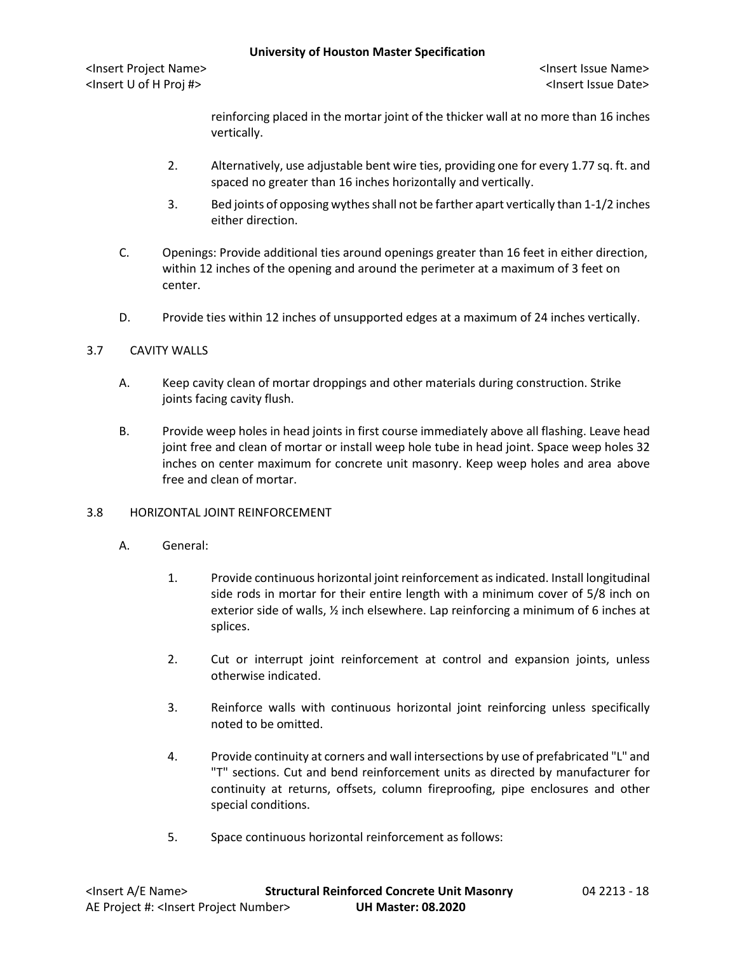reinforcing placed in the mortar joint of the thicker wall at no more than 16 inches vertically.

- 2. Alternatively, use adjustable bent wire ties, providing one for every 1.77 sq. ft. and spaced no greater than 16 inches horizontally and vertically.
- 3. Bed joints of opposing wythes shall not be farther apart vertically than 1-1/2 inches either direction.
- C. Openings: Provide additional ties around openings greater than 16 feet in either direction, within 12 inches of the opening and around the perimeter at a maximum of 3 feet on center.
- D. Provide ties within 12 inches of unsupported edges at a maximum of 24 inches vertically.

### 3.7 CAVITY WALLS

- A. Keep cavity clean of mortar droppings and other materials during construction. Strike joints facing cavity flush.
- B. Provide weep holes in head joints in first course immediately above all flashing. Leave head joint free and clean of mortar or install weep hole tube in head joint. Space weep holes 32 inches on center maximum for concrete unit masonry. Keep weep holes and area above free and clean of mortar.

# 3.8 HORIZONTAL JOINT REINFORCEMENT

- A. General:
	- 1. Provide continuous horizontal joint reinforcement as indicated. Install longitudinal side rods in mortar for their entire length with a minimum cover of 5/8 inch on exterior side of walls,  $\frac{1}{2}$  inch elsewhere. Lap reinforcing a minimum of 6 inches at splices.
	- 2. Cut or interrupt joint reinforcement at control and expansion joints, unless otherwise indicated.
	- 3. Reinforce walls with continuous horizontal joint reinforcing unless specifically noted to be omitted.
	- 4. Provide continuity at corners and wall intersections by use of prefabricated "L" and "T" sections. Cut and bend reinforcement units as directed by manufacturer for continuity at returns, offsets, column fireproofing, pipe enclosures and other special conditions.
	- 5. Space continuous horizontal reinforcement as follows: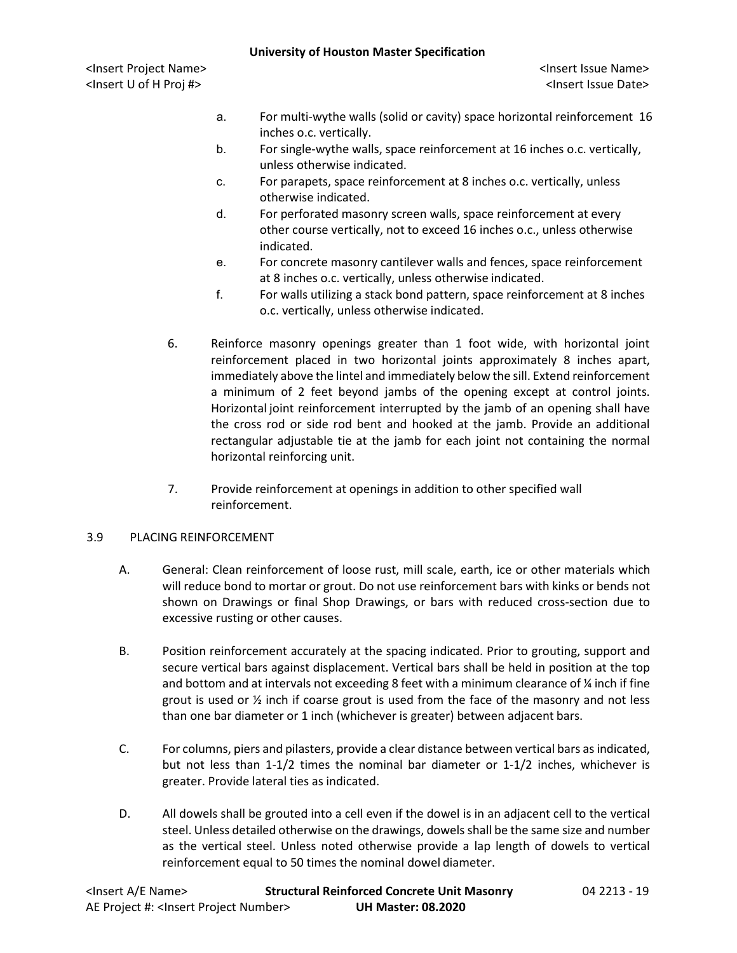- a. For multi-wythe walls (solid or cavity) space horizontal reinforcement 16 inches o.c. vertically.
- b. For single-wythe walls, space reinforcement at 16 inches o.c. vertically, unless otherwise indicated.
- c. For parapets, space reinforcement at 8 inches o.c. vertically, unless otherwise indicated.
- d. For perforated masonry screen walls, space reinforcement at every other course vertically, not to exceed 16 inches o.c., unless otherwise indicated.
- e. For concrete masonry cantilever walls and fences, space reinforcement at 8 inches o.c. vertically, unless otherwise indicated.
- f. For walls utilizing a stack bond pattern, space reinforcement at 8 inches o.c. vertically, unless otherwise indicated.
- 6. Reinforce masonry openings greater than 1 foot wide, with horizontal joint reinforcement placed in two horizontal joints approximately 8 inches apart, immediately above the lintel and immediately below the sill. Extend reinforcement a minimum of 2 feet beyond jambs of the opening except at control joints. Horizontal joint reinforcement interrupted by the jamb of an opening shall have the cross rod or side rod bent and hooked at the jamb. Provide an additional rectangular adjustable tie at the jamb for each joint not containing the normal horizontal reinforcing unit.
- 7. Provide reinforcement at openings in addition to other specified wall reinforcement.

### 3.9 PLACING REINFORCEMENT

- A. General: Clean reinforcement of loose rust, mill scale, earth, ice or other materials which will reduce bond to mortar or grout. Do not use reinforcement bars with kinks or bends not shown on Drawings or final Shop Drawings, or bars with reduced cross-section due to excessive rusting or other causes.
- B. Position reinforcement accurately at the spacing indicated. Prior to grouting, support and secure vertical bars against displacement. Vertical bars shall be held in position at the top and bottom and at intervals not exceeding 8 feet with a minimum clearance of  $\chi$  inch if fine grout is used or ½ inch if coarse grout is used from the face of the masonry and not less than one bar diameter or 1 inch (whichever is greater) between adjacent bars.
- C. For columns, piers and pilasters, provide a clear distance between vertical bars as indicated, but not less than 1-1/2 times the nominal bar diameter or 1-1/2 inches, whichever is greater. Provide lateral ties as indicated.
- D. All dowels shall be grouted into a cell even if the dowel is in an adjacent cell to the vertical steel. Unless detailed otherwise on the drawings, dowels shall be the same size and number as the vertical steel. Unless noted otherwise provide a lap length of dowels to vertical reinforcement equal to 50 times the nominal dowel diameter.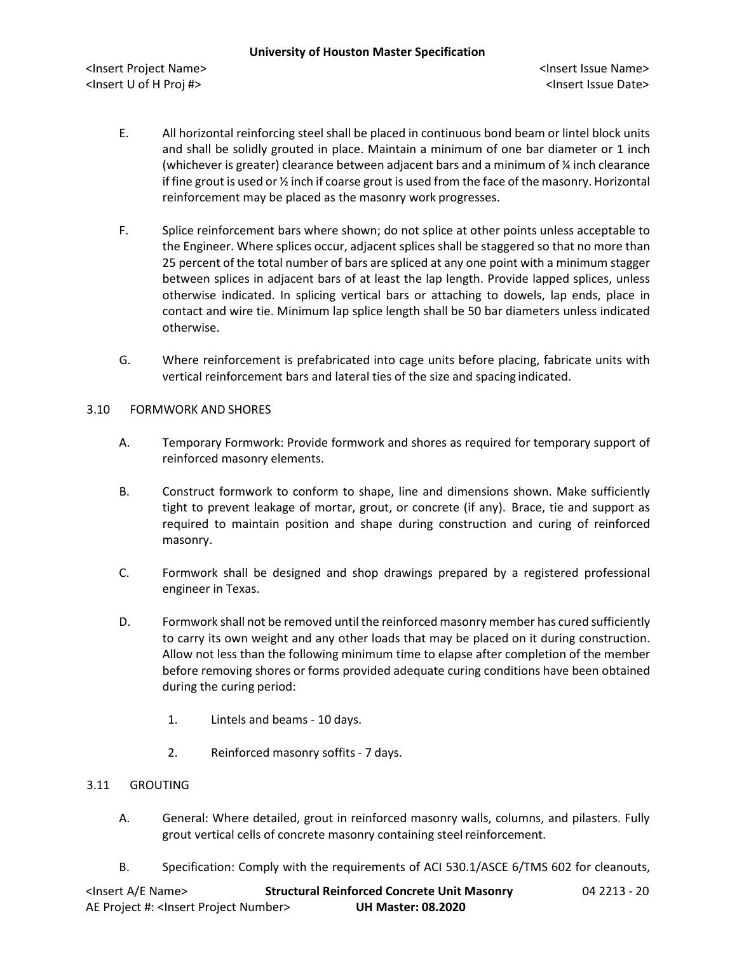- E. All horizontal reinforcing steel shall be placed in continuous bond beam or lintel block units and shall be solidly grouted in place. Maintain a minimum of one bar diameter or 1 inch (whichever is greater) clearance between adjacent bars and a minimum of ¼ inch clearance if fine grout is used or ½ inch if coarse grout is used from the face of the masonry. Horizontal reinforcement may be placed as the masonry work progresses.
- F. Splice reinforcement bars where shown; do not splice at other points unless acceptable to the Engineer. Where splices occur, adjacent splices shall be staggered so that no more than 25 percent of the total number of bars are spliced at any one point with a minimum stagger between splices in adjacent bars of at least the lap length. Provide lapped splices, unless otherwise indicated. In splicing vertical bars or attaching to dowels, lap ends, place in contact and wire tie. Minimum lap splice length shall be 50 bar diameters unless indicated otherwise.
- G. Where reinforcement is prefabricated into cage units before placing, fabricate units with vertical reinforcement bars and lateral ties of the size and spacing indicated.
- 3.10 FORMWORK AND SHORES
	- A. Temporary Formwork: Provide formwork and shores as required for temporary support of reinforced masonry elements.
	- B. Construct formwork to conform to shape, line and dimensions shown. Make sufficiently tight to prevent leakage of mortar, grout, or concrete (if any). Brace, tie and support as required to maintain position and shape during construction and curing of reinforced masonry.
	- C. Formwork shall be designed and shop drawings prepared by a registered professional engineer in Texas.
	- D. Formwork shall not be removed until the reinforced masonry member has cured sufficiently to carry its own weight and any other loads that may be placed on it during construction. Allow not less than the following minimum time to elapse after completion of the member before removing shores or forms provided adequate curing conditions have been obtained during the curing period:
		- 1. Lintels and beams 10 days.
		- 2. Reinforced masonry soffits 7 days.

### 3.11 GROUTING

- A. General: Where detailed, grout in reinforced masonry walls, columns, and pilasters. Fully grout vertical cells of concrete masonry containing steel reinforcement.
- B. Specification: Comply with the requirements of ACI 530.1/ASCE 6/TMS 602 for cleanouts,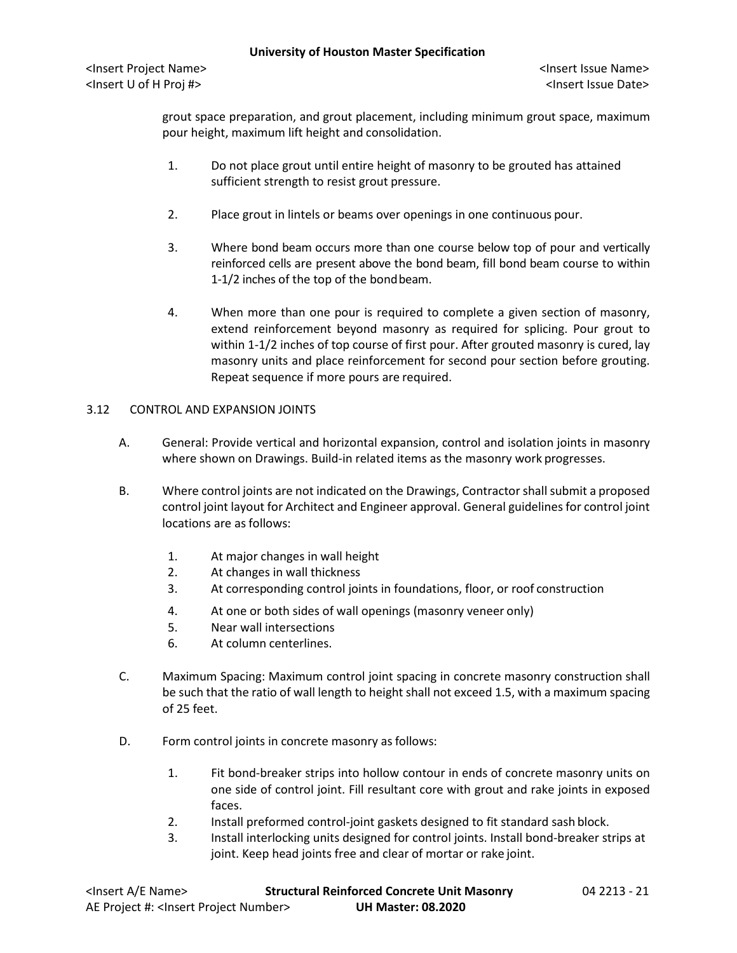grout space preparation, and grout placement, including minimum grout space, maximum pour height, maximum lift height and consolidation.

- 1. Do not place grout until entire height of masonry to be grouted has attained sufficient strength to resist grout pressure.
- 2. Place grout in lintels or beams over openings in one continuous pour.
- 3. Where bond beam occurs more than one course below top of pour and vertically reinforced cells are present above the bond beam, fill bond beam course to within 1-1/2 inches of the top of the bondbeam.
- 4. When more than one pour is required to complete a given section of masonry, extend reinforcement beyond masonry as required for splicing. Pour grout to within 1-1/2 inches of top course of first pour. After grouted masonry is cured, lay masonry units and place reinforcement for second pour section before grouting. Repeat sequence if more pours are required.

#### 3.12 CONTROL AND EXPANSION JOINTS

- A. General: Provide vertical and horizontal expansion, control and isolation joints in masonry where shown on Drawings. Build-in related items as the masonry work progresses.
- B. Where control joints are not indicated on the Drawings, Contractor shall submit a proposed control joint layout for Architect and Engineer approval. General guidelines for control joint locations are as follows:
	- 1. At major changes in wall height
	- 2. At changes in wall thickness
	- 3. At corresponding control joints in foundations, floor, or roof construction
	- 4. At one or both sides of wall openings (masonry veneer only)
	- 5. Near wall intersections
	- 6. At column centerlines.
- C. Maximum Spacing: Maximum control joint spacing in concrete masonry construction shall be such that the ratio of wall length to height shall not exceed 1.5, with a maximum spacing of 25 feet.
- D. Form control joints in concrete masonry as follows:
	- 1. Fit bond-breaker strips into hollow contour in ends of concrete masonry units on one side of control joint. Fill resultant core with grout and rake joints in exposed faces.
	- 2. Install preformed control-joint gaskets designed to fit standard sash block.
	- 3. Install interlocking units designed for control joints. Install bond-breaker strips at joint. Keep head joints free and clear of mortar or rake joint.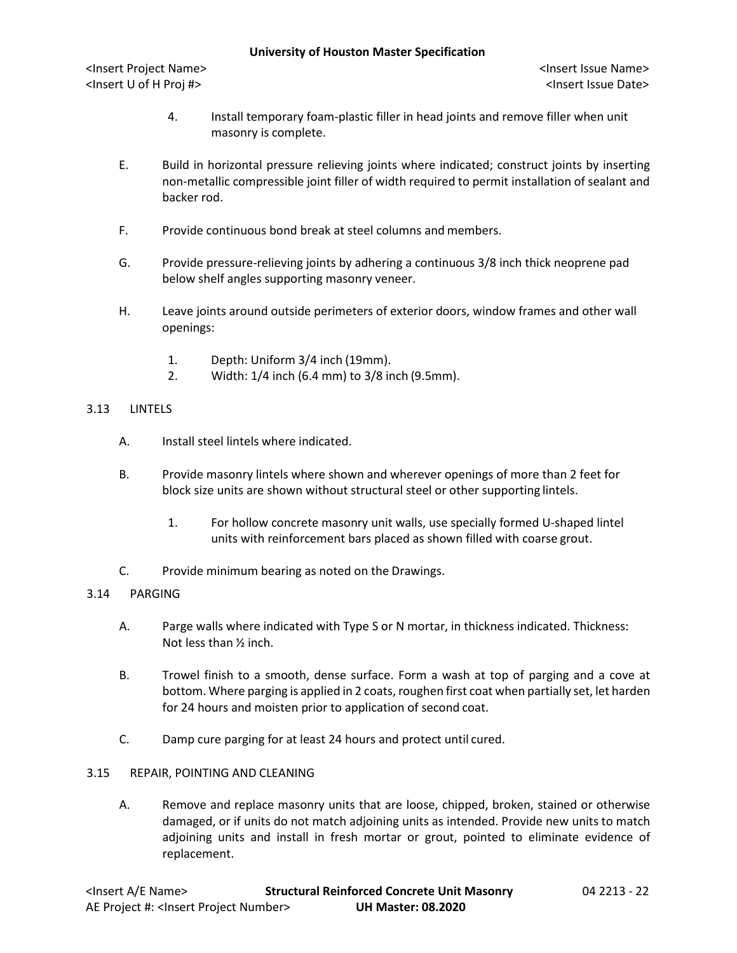- 4. Install temporary foam-plastic filler in head joints and remove filler when unit masonry is complete.
- E. Build in horizontal pressure relieving joints where indicated; construct joints by inserting non-metallic compressible joint filler of width required to permit installation of sealant and backer rod.
- F. Provide continuous bond break at steel columns and members.
- G. Provide pressure-relieving joints by adhering a continuous 3/8 inch thick neoprene pad below shelf angles supporting masonry veneer.
- H. Leave joints around outside perimeters of exterior doors, window frames and other wall openings:
	- 1. Depth: Uniform 3/4 inch (19mm).
	- 2. Width: 1/4 inch (6.4 mm) to 3/8 inch (9.5mm).

### 3.13 LINTELS

- A. Install steel lintels where indicated.
- B. Provide masonry lintels where shown and wherever openings of more than 2 feet for block size units are shown without structural steel or other supporting lintels.
	- 1. For hollow concrete masonry unit walls, use specially formed U-shaped lintel units with reinforcement bars placed as shown filled with coarse grout.
- C. Provide minimum bearing as noted on the Drawings.

### 3.14 PARGING

- A. Parge walls where indicated with Type S or N mortar, in thickness indicated. Thickness: Not less than ½ inch.
- B. Trowel finish to a smooth, dense surface. Form a wash at top of parging and a cove at bottom. Where parging is applied in 2 coats, roughen first coat when partially set, let harden for 24 hours and moisten prior to application of second coat.
- C. Damp cure parging for at least 24 hours and protect until cured.
- 3.15 REPAIR, POINTING AND CLEANING
	- A. Remove and replace masonry units that are loose, chipped, broken, stained or otherwise damaged, or if units do not match adjoining units as intended. Provide new units to match adjoining units and install in fresh mortar or grout, pointed to eliminate evidence of replacement.